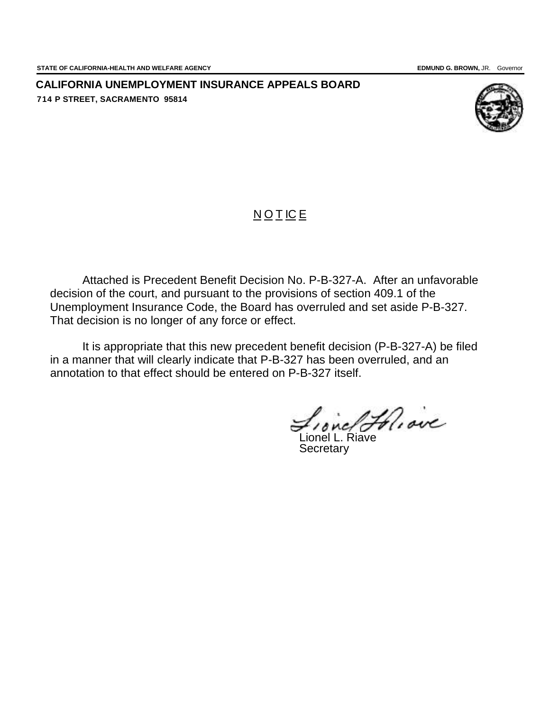**CALIFORNIA UNEMPLOYMENT INSURANCE APPEALS BOARD 714 P STREET, SACRAMENTO 95814**



## **NOTICE**

Attached is Precedent Benefit Decision No. P-B-327-A. After an unfavorable decision of the court, and pursuant to the provisions of section 409.1 of the Unemployment Insurance Code, the Board has overruled and set aside P-B-327. That decision is no longer of any force or effect.

It is appropriate that this new precedent benefit decision (P-B-327-A) be filed in a manner that will clearly indicate that P-B-327 has been overruled, and an annotation to that effect should be entered on P-B-327 itself.

Lione/ Foliaire

**Secretary**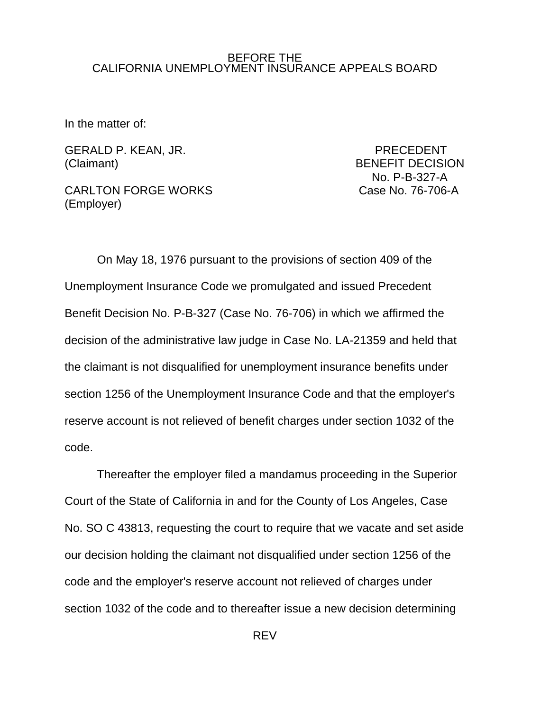## BEFORE THE CALIFORNIA UNEMPLOYMENT INSURANCE APPEALS BOARD

In the matter of:

GERALD P. KEAN, JR. PRECEDENT (Claimant) BENEFIT DECISION

CARLTON FORGE WORKS CASE Case No. 76-706-A (Employer)

No. P-B-327-A

On May 18, 1976 pursuant to the provisions of section 409 of the Unemployment Insurance Code we promulgated and issued Precedent Benefit Decision No. P-B-327 (Case No. 76-706) in which we affirmed the decision of the administrative law judge in Case No. LA-21359 and held that the claimant is not disqualified for unemployment insurance benefits under section 1256 of the Unemployment Insurance Code and that the employer's reserve account is not relieved of benefit charges under section 1032 of the code.

Thereafter the employer filed a mandamus proceeding in the Superior Court of the State of California in and for the County of Los Angeles, Case No. SO C 43813, requesting the court to require that we vacate and set aside our decision holding the claimant not disqualified under section 1256 of the code and the employer's reserve account not relieved of charges under section 1032 of the code and to thereafter issue a new decision determining

REV